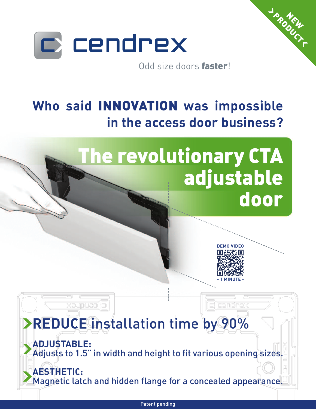

Odd size doors **faster**!

## **Who said INNOVATION was impossible in the access door business?**

# **The revolutionary CTA adjustable door**



c) cendre:

**NEW PRODUCT** 

## › **REDUCE** installation time by 90%

**Xaupuan** 

**INSTERNE ADJUSTABLE:** Adjusts to 1.5" in width and height to fit various opening sizes.

**ICE AESTHETIC:** Magnetic latch and hidden flange for a concealed appearance.

Patent pending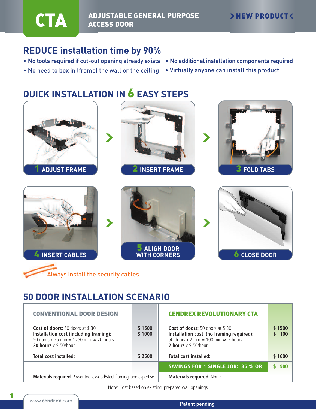#### **ADJUSTABLE GENERAL PURPOSE CTA ADJUSTABLE**

### **REDUCE installation time by 90%**

- No tools required if cut-out opening already exists No additional installation components required
- No need to box in (frame) the wall or the ceiling Virtually anyone can install this product

## **QUICK INSTALLATION IN 6 EASY STEPS**





## **50 DOOR INSTALLATION SCENARIO**

| <b>CONVENTIONAL DOOR DESIGN</b>                                                                                                                                       |                  | <b>CENDREX REVOLUTIONARY CTA</b>                                                                                                                     |               |
|-----------------------------------------------------------------------------------------------------------------------------------------------------------------------|------------------|------------------------------------------------------------------------------------------------------------------------------------------------------|---------------|
| <b>Cost of doors:</b> 50 doors at \$30<br>Installation cost (including framing):<br>50 doors x 25 min = 1250 min $\approx$ 20 hours<br><b>20 hours</b> $x$ \$ 50/hour | \$1500<br>\$1000 | Cost of doors: 50 doors at \$30<br>Installation cost (no framing required):<br>50 doors x 2 min = 100 min $\approx$ 2 hours<br>2 hours $x \$ 50/hour | \$1500<br>100 |
| <b>Total cost installed:</b>                                                                                                                                          | \$2500           | <b>Total cost installed:</b>                                                                                                                         | \$1600        |
|                                                                                                                                                                       |                  | <b>SAVINGS FOR 1 SINGLE JOB: 35 % OR</b>                                                                                                             |               |
| Materials required: Power tools, wood/steel framing, and expertise                                                                                                    |                  | <b>Materials required: None</b>                                                                                                                      |               |

Note: Cost based on existing, prepared wall openings

**1**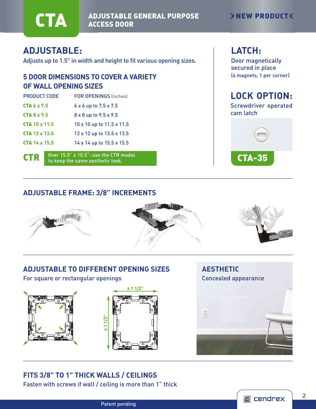

**ADJUSTABLE GENERAL PURPOSE CTA ADJUSTABLE** 

#### ›**NEW PRODUCT**‹

#### **ADJUSTABLE:**

Adjusts up to 1.5" in width and height to fit various opening sizes.

#### **5 DOOR DIMENSIONS TO COVER A VARIETY OF WALL OPENING SIZES**

| <b>PRODUCT CODE</b>    | <b>FOR OPENINGS (inches)</b>        |
|------------------------|-------------------------------------|
| <b>CTA 6 x 7.5</b>     | $6 \times 6$ up to $7.5 \times 7.5$ |
| CTA 8 x 9.5            | 8 x 8 up to 9.5 x 9.5               |
| $CTA$ 10 $\times$ 11.5 | 10 x 10 up to 11.5 x 11.5           |
| <b>CTA</b> 12 x 13.5   | 12 x 12 up to 13.5 x 13.5           |
| <b>CTA 14 x 15.5</b>   | 14 x 14 up to 15.5 x 15.5           |
|                        |                                     |

**CTR** Over 15.5" x 15.5": use the CTR model to keep the same aesthetic look.

#### **LATCH:**

Door magnetically secured in place (4 magnets, 1 per corner)

#### **LOCK OPTION:** Screwdriver operated

cam latch



#### **ADJUSTABLE FRAME: 3/8" INCREMENTS**



#### **ADJUSTABLE TO DIFFERENT OPENING SIZES**

For square or rectangular openings





# **AESTHETIC** Concealed appearance



#### **FITS 3/8" TO 1" THICK WALLS / CEILINGS**

Fasten with screws if wall / ceiling is more than 1" thick

Patent pending